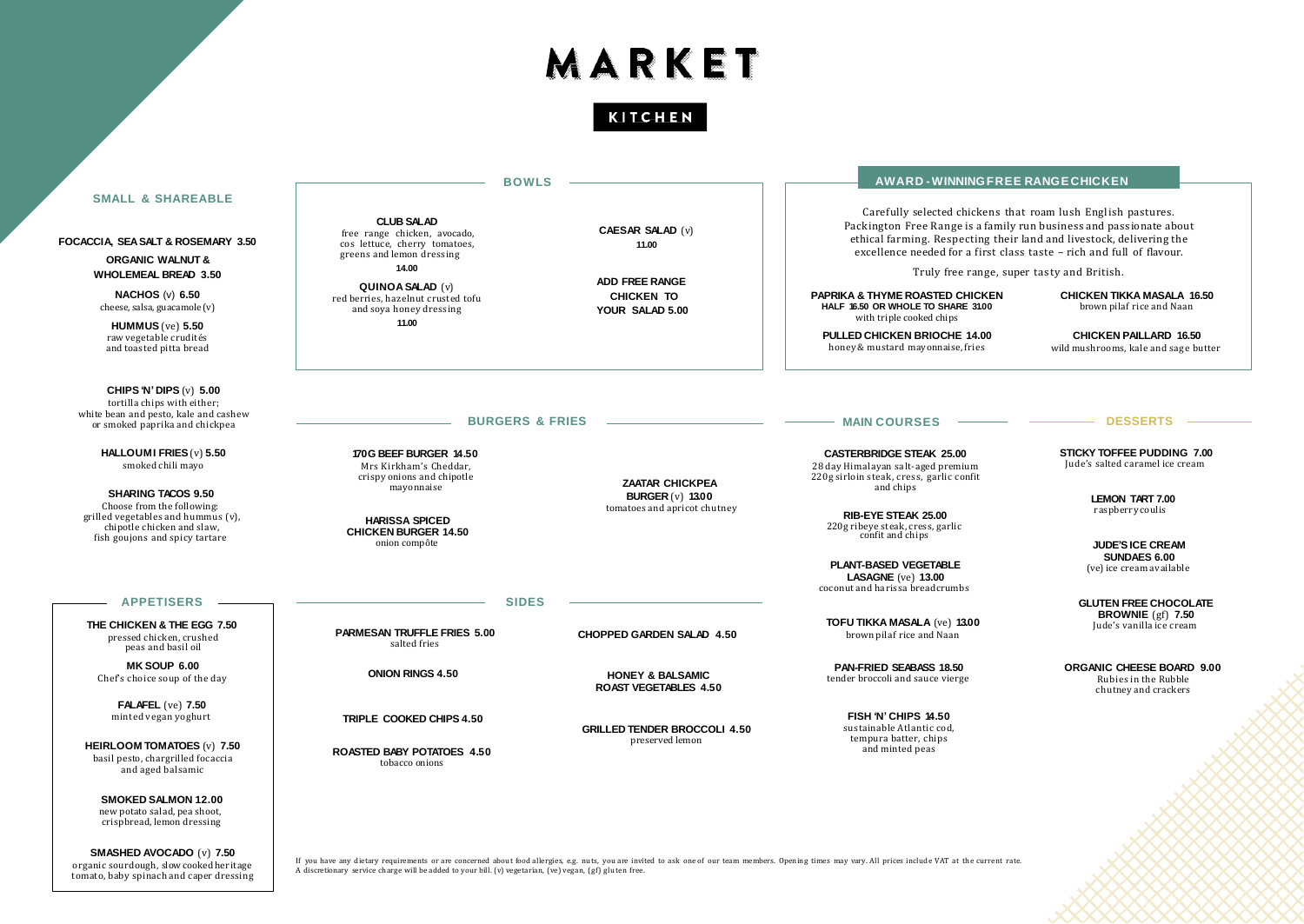# MARKET

KITCHEN

|                                                                                                                                                                                                                                                                           | <b>BOWLS</b>                                                                                                                                                                                                                  |                                                                                                   | AWARD-WINNINGFREE RANGE CHICKEN                                                                                                                                                                                                                                                                                                                                                                                                                                                                                                |                                                                                                                                                                                           |
|---------------------------------------------------------------------------------------------------------------------------------------------------------------------------------------------------------------------------------------------------------------------------|-------------------------------------------------------------------------------------------------------------------------------------------------------------------------------------------------------------------------------|---------------------------------------------------------------------------------------------------|--------------------------------------------------------------------------------------------------------------------------------------------------------------------------------------------------------------------------------------------------------------------------------------------------------------------------------------------------------------------------------------------------------------------------------------------------------------------------------------------------------------------------------|-------------------------------------------------------------------------------------------------------------------------------------------------------------------------------------------|
| <b>SMALL &amp; SHAREABLE</b><br>FOCACCIA, SEA SALT & ROSEMARY 3.50<br><b>ORGANIC WALNUT &amp;</b><br><b>WHOLEMEAL BREAD 3.50</b><br>NACHOS $(v)$ 6.50<br>cheese, salsa, guacamole (v)<br><b>HUMMUS</b> ( $ve$ ) 5.50<br>raw vegetable crudités<br>and toasted pitta bread | <b>CLUB SALAD</b><br>free range chicken, avocado,<br>cos lettuce, cherry tomatoes,<br>greens and lemon dressing<br>14.00<br><b>QUINOA SALAD (v)</b><br>red berries, hazelnut crusted tofu<br>and soya honey dressing<br>11.00 | <b>CAESAR SALAD (v)</b><br>11.00<br><b>ADD FREE RANGE</b><br><b>CHICKEN TO</b><br>YOUR SALAD 5.00 | Carefully selected chickens that roam lush English pastures.<br>Packington Free Range is a family run business and passionate about<br>ethical farming. Respecting their land and livestock, delivering the<br>excellence needed for a first class taste - rich and full of flavour.<br>Truly free range, super tasty and British.<br><b>PAPRIKA &amp; THYME ROASTED CHICKEN</b><br>HALF 16.50 OR WHOLE TO SHARE 31.00<br>with triple cooked chips<br><b>PULLED CHICKEN BRIOCHE 14.00</b><br>honey & mustard mayonnaise, fries | <b>CHICKEN TIKKA MASALA 16.50</b><br>brown pilaf rice and Naan<br><b>CHICKEN PAILLARD 16.50</b><br>wild mushrooms, kale and sage butter                                                   |
| CHIPS 'N' DIPS $(v)$ 5.00<br>tortilla chips with either;<br>white bean and pesto, kale and cashew<br>or smoked paprika and chickpea                                                                                                                                       | <b>BURGERS &amp; FRIES</b>                                                                                                                                                                                                    |                                                                                                   | <b>MAIN COURSES</b>                                                                                                                                                                                                                                                                                                                                                                                                                                                                                                            | <b>DESSERTS</b>                                                                                                                                                                           |
| HALLOUMI FRIES (v) 5.50<br>smoked chili mayo<br><b>SHARING TACOS 9.50</b><br>Choose from the following:<br>grilled vegetables and hummus (v),<br>chipotle chicken and slaw,<br>fish goujons and spicy tartare                                                             | 170G BEEF BURGER 14.50<br>Mrs Kirkham's Cheddar.<br>crispy onions and chipotle<br>mayonnaise<br><b>HARISSA SPICED</b><br><b>CHICKEN BURGER 14.50</b><br>onion compôte                                                         | <b>ZAATAR CHICKPEA</b><br><b>BURGER (v) 13.00</b><br>tomatoes and apricot chutney                 | <b>CASTERBRIDGE STEAK 25.00</b><br>28 day Himalayan salt-aged premium<br>220g sirloin steak, cress, garlic confit<br>and chips<br><b>RIB-EYE STEAK 25.00</b><br>220g ribeye steak, cress, garlic<br>confit and chips<br><b>PLANT-BASED VEGETABLE</b><br><b>LASAGNE</b> ( $ve$ ) 13.00<br>coconut and harissa breadcrumbs                                                                                                                                                                                                       | <b>STICKY TOFFEE PUDDING 7.00</b><br>Jude's salted caramel ice cream<br><b>LEMON TART 7.00</b><br>raspberry coulis<br><b>JUDE'S ICE CREAM</b><br>SUNDAES 6.00<br>(ve) ice cream available |
| <b>APPETISERS</b><br>THE CHICKEN & THE EGG 7.50<br>pressed chicken, crushed<br>peas and basil oil                                                                                                                                                                         | <b>SIDES</b><br><b>PARMESAN TRUFFLE FRIES 5.00</b><br>salted fries                                                                                                                                                            | <b>CHOPPED GARDEN SALAD 4.50</b>                                                                  | TOFU TIKKA MASALA (ve) 13.00<br>brown pilaf rice and Naan                                                                                                                                                                                                                                                                                                                                                                                                                                                                      | <b>GLUTEN FREE CHOCOLATE</b><br><b>BROWNIE</b> ( $gf$ ) 7.50<br>Jude's vanilla ice cream                                                                                                  |
| MK SOUP 6.00<br>Chef's choice soup of the day                                                                                                                                                                                                                             | <b>ONION RINGS 4.50</b>                                                                                                                                                                                                       | <b>HONEY &amp; BALSAMIC</b><br><b>ROAST VEGETABLES 4.50</b>                                       | <b>PAN-FRIED SEABASS 18.50</b><br>tender broccoli and sauce vierge                                                                                                                                                                                                                                                                                                                                                                                                                                                             | ORGANIC CHEESE BOARD 9.00<br>Rubies in the Rubble<br>chutney and crackers                                                                                                                 |
| <b>FALAFEL</b> (ve) 7.50<br>minted vegan yoghurt<br><b>HEIRLOOM TOMATOES (v) 7.50</b><br>basil pesto, chargrilled focaccia<br>and aged balsamic<br><b>SMOKED SALMON 12.00</b>                                                                                             | TRIPLE COOKED CHIPS 4.50<br><b>ROASTED BABY POTATOES 4.50</b><br>tobacco onions                                                                                                                                               | <b>GRILLED TENDER BROCCOLI 4.50</b><br>preserved lemon                                            | FISH 'N' CHIPS 14.50<br>sustainable Atlantic cod.<br>tempura batter, chips<br>and minted peas                                                                                                                                                                                                                                                                                                                                                                                                                                  |                                                                                                                                                                                           |

new potato salad, pea shoot, crispbread, lemon dressing

**SMASHED AVOCADO** (v) **7.50** organic sourdough, slow cooked heritage tomato, baby spinach and caper dressing

If you have any dietary requirements or are concerned about food allergies, e.g. nuts, you are invited to ask one of our team members. Opening times may vary. All prices include VAT at the current rate.<br>A discretionary ser